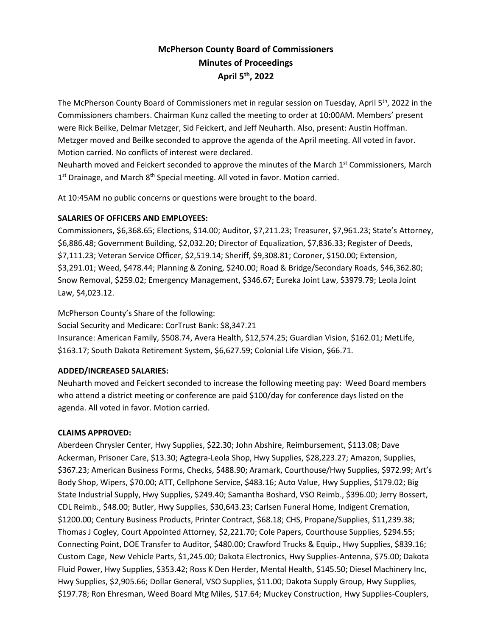# **McPherson County Board of Commissioners Minutes of Proceedings April 5th , 2022**

The McPherson County Board of Commissioners met in regular session on Tuesday, April 5<sup>th</sup>, 2022 in the Commissioners chambers. Chairman Kunz called the meeting to order at 10:00AM. Members' present were Rick Beilke, Delmar Metzger, Sid Feickert, and Jeff Neuharth. Also, present: Austin Hoffman. Metzger moved and Beilke seconded to approve the agenda of the April meeting. All voted in favor. Motion carried. No conflicts of interest were declared.

Neuharth moved and Feickert seconded to approve the minutes of the March 1st Commissioners, March 1<sup>st</sup> Drainage, and March 8<sup>th</sup> Special meeting. All voted in favor. Motion carried.

At 10:45AM no public concerns or questions were brought to the board.

## **SALARIES OF OFFICERS AND EMPLOYEES:**

Commissioners, \$6,368.65; Elections, \$14.00; Auditor, \$7,211.23; Treasurer, \$7,961.23; State's Attorney, \$6,886.48; Government Building, \$2,032.20; Director of Equalization, \$7,836.33; Register of Deeds, \$7,111.23; Veteran Service Officer, \$2,519.14; Sheriff, \$9,308.81; Coroner, \$150.00; Extension, \$3,291.01; Weed, \$478.44; Planning & Zoning, \$240.00; Road & Bridge/Secondary Roads, \$46,362.80; Snow Removal, \$259.02; Emergency Management, \$346.67; Eureka Joint Law, \$3979.79; Leola Joint Law, \$4,023.12.

McPherson County's Share of the following: Social Security and Medicare: CorTrust Bank: \$8,347.21 Insurance: American Family, \$508.74, Avera Health, \$12,574.25; Guardian Vision, \$162.01; MetLife, \$163.17; South Dakota Retirement System, \$6,627.59; Colonial Life Vision, \$66.71.

## **ADDED/INCREASED SALARIES:**

Neuharth moved and Feickert seconded to increase the following meeting pay: Weed Board members who attend a district meeting or conference are paid \$100/day for conference days listed on the agenda. All voted in favor. Motion carried.

#### **CLAIMS APPROVED:**

Aberdeen Chrysler Center, Hwy Supplies, \$22.30; John Abshire, Reimbursement, \$113.08; Dave Ackerman, Prisoner Care, \$13.30; Agtegra-Leola Shop, Hwy Supplies, \$28,223.27; Amazon, Supplies, \$367.23; American Business Forms, Checks, \$488.90; Aramark, Courthouse/Hwy Supplies, \$972.99; Art's Body Shop, Wipers, \$70.00; ATT, Cellphone Service, \$483.16; Auto Value, Hwy Supplies, \$179.02; Big State Industrial Supply, Hwy Supplies, \$249.40; Samantha Boshard, VSO Reimb., \$396.00; Jerry Bossert, CDL Reimb., \$48.00; Butler, Hwy Supplies, \$30,643.23; Carlsen Funeral Home, Indigent Cremation, \$1200.00; Century Business Products, Printer Contract, \$68.18; CHS, Propane/Supplies, \$11,239.38; Thomas J Cogley, Court Appointed Attorney, \$2,221.70; Cole Papers, Courthouse Supplies, \$294.55; Connecting Point, DOE Transfer to Auditor, \$480.00; Crawford Trucks & Equip., Hwy Supplies, \$839.16; Custom Cage, New Vehicle Parts, \$1,245.00; Dakota Electronics, Hwy Supplies-Antenna, \$75.00; Dakota Fluid Power, Hwy Supplies, \$353.42; Ross K Den Herder, Mental Health, \$145.50; Diesel Machinery Inc, Hwy Supplies, \$2,905.66; Dollar General, VSO Supplies, \$11.00; Dakota Supply Group, Hwy Supplies, \$197.78; Ron Ehresman, Weed Board Mtg Miles, \$17.64; Muckey Construction, Hwy Supplies-Couplers,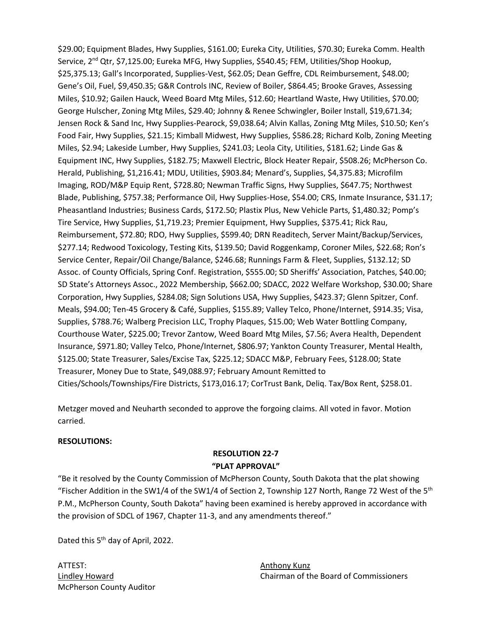\$29.00; Equipment Blades, Hwy Supplies, \$161.00; Eureka City, Utilities, \$70.30; Eureka Comm. Health Service, 2<sup>nd</sup> Qtr, \$7,125.00; Eureka MFG, Hwy Supplies, \$540.45; FEM, Utilities/Shop Hookup, \$25,375.13; Gall's Incorporated, Supplies-Vest, \$62.05; Dean Geffre, CDL Reimbursement, \$48.00; Gene's Oil, Fuel, \$9,450.35; G&R Controls INC, Review of Boiler, \$864.45; Brooke Graves, Assessing Miles, \$10.92; Gailen Hauck, Weed Board Mtg Miles, \$12.60; Heartland Waste, Hwy Utilities, \$70.00; George Hulscher, Zoning Mtg Miles, \$29.40; Johnny & Renee Schwingler, Boiler Install, \$19,671.34; Jensen Rock & Sand Inc, Hwy Supplies-Pearock, \$9,038.64; Alvin Kallas, Zoning Mtg Miles, \$10.50; Ken's Food Fair, Hwy Supplies, \$21.15; Kimball Midwest, Hwy Supplies, \$586.28; Richard Kolb, Zoning Meeting Miles, \$2.94; Lakeside Lumber, Hwy Supplies, \$241.03; Leola City, Utilities, \$181.62; Linde Gas & Equipment INC, Hwy Supplies, \$182.75; Maxwell Electric, Block Heater Repair, \$508.26; McPherson Co. Herald, Publishing, \$1,216.41; MDU, Utilities, \$903.84; Menard's, Supplies, \$4,375.83; Microfilm Imaging, ROD/M&P Equip Rent, \$728.80; Newman Traffic Signs, Hwy Supplies, \$647.75; Northwest Blade, Publishing, \$757.38; Performance Oil, Hwy Supplies-Hose, \$54.00; CRS, Inmate Insurance, \$31.17; Pheasantland Industries; Business Cards, \$172.50; Plastix Plus, New Vehicle Parts, \$1,480.32; Pomp's Tire Service, Hwy Supplies, \$1,719.23; Premier Equipment, Hwy Supplies, \$375.41; Rick Rau, Reimbursement, \$72.80; RDO, Hwy Supplies, \$599.40; DRN Readitech, Server Maint/Backup/Services, \$277.14; Redwood Toxicology, Testing Kits, \$139.50; David Roggenkamp, Coroner Miles, \$22.68; Ron's Service Center, Repair/Oil Change/Balance, \$246.68; Runnings Farm & Fleet, Supplies, \$132.12; SD Assoc. of County Officials, Spring Conf. Registration, \$555.00; SD Sheriffs' Association, Patches, \$40.00; SD State's Attorneys Assoc., 2022 Membership, \$662.00; SDACC, 2022 Welfare Workshop, \$30.00; Share Corporation, Hwy Supplies, \$284.08; Sign Solutions USA, Hwy Supplies, \$423.37; Glenn Spitzer, Conf. Meals, \$94.00; Ten-45 Grocery & Café, Supplies, \$155.89; Valley Telco, Phone/Internet, \$914.35; Visa, Supplies, \$788.76; Walberg Precision LLC, Trophy Plaques, \$15.00; Web Water Bottling Company, Courthouse Water, \$225.00; Trevor Zantow, Weed Board Mtg Miles, \$7.56; Avera Health, Dependent Insurance, \$971.80; Valley Telco, Phone/Internet, \$806.97; Yankton County Treasurer, Mental Health, \$125.00; State Treasurer, Sales/Excise Tax, \$225.12; SDACC M&P, February Fees, \$128.00; State Treasurer, Money Due to State, \$49,088.97; February Amount Remitted to Cities/Schools/Townships/Fire Districts, \$173,016.17; CorTrust Bank, Deliq. Tax/Box Rent, \$258.01.

Metzger moved and Neuharth seconded to approve the forgoing claims. All voted in favor. Motion carried.

#### **RESOLUTIONS:**

## **RESOLUTION 22-7 "PLAT APPROVAL"**

"Be it resolved by the County Commission of McPherson County, South Dakota that the plat showing "Fischer Addition in the SW1/4 of the SW1/4 of Section 2, Township 127 North, Range 72 West of the 5<sup>th</sup> P.M., McPherson County, South Dakota" having been examined is hereby approved in accordance with the provision of SDCL of 1967, Chapter 11-3, and any amendments thereof."

Dated this 5<sup>th</sup> day of April, 2022.

ATTEST: AND ANTIEST: McPherson County Auditor

Lindley Howard Chairman of the Board of Commissioners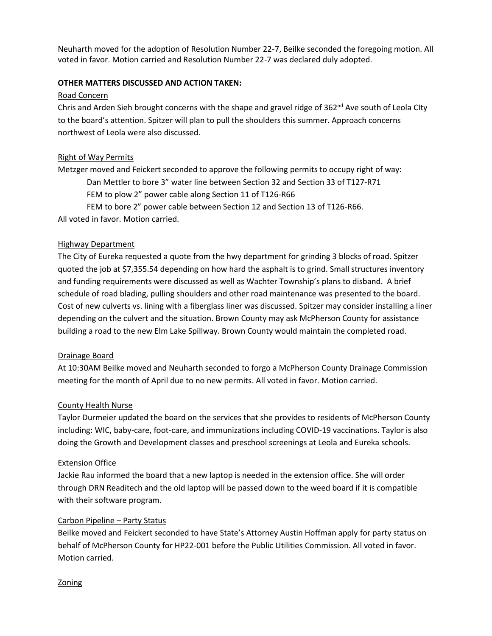Neuharth moved for the adoption of Resolution Number 22-7, Beilke seconded the foregoing motion. All voted in favor. Motion carried and Resolution Number 22-7 was declared duly adopted.

### **OTHER MATTERS DISCUSSED AND ACTION TAKEN:**

#### Road Concern

Chris and Arden Sieh brought concerns with the shape and gravel ridge of  $362<sup>nd</sup>$  Ave south of Leola CIty to the board's attention. Spitzer will plan to pull the shoulders this summer. Approach concerns northwest of Leola were also discussed.

## Right of Way Permits

Metzger moved and Feickert seconded to approve the following permits to occupy right of way: Dan Mettler to bore 3" water line between Section 32 and Section 33 of T127-R71 FEM to plow 2" power cable along Section 11 of T126-R66 FEM to bore 2" power cable between Section 12 and Section 13 of T126-R66. All voted in favor. Motion carried.

### Highway Department

The City of Eureka requested a quote from the hwy department for grinding 3 blocks of road. Spitzer quoted the job at \$7,355.54 depending on how hard the asphalt is to grind. Small structures inventory and funding requirements were discussed as well as Wachter Township's plans to disband. A brief schedule of road blading, pulling shoulders and other road maintenance was presented to the board. Cost of new culverts vs. lining with a fiberglass liner was discussed. Spitzer may consider installing a liner depending on the culvert and the situation. Brown County may ask McPherson County for assistance building a road to the new Elm Lake Spillway. Brown County would maintain the completed road.

## Drainage Board

At 10:30AM Beilke moved and Neuharth seconded to forgo a McPherson County Drainage Commission meeting for the month of April due to no new permits. All voted in favor. Motion carried.

#### County Health Nurse

Taylor Durmeier updated the board on the services that she provides to residents of McPherson County including: WIC, baby-care, foot-care, and immunizations including COVID-19 vaccinations. Taylor is also doing the Growth and Development classes and preschool screenings at Leola and Eureka schools.

#### Extension Office

Jackie Rau informed the board that a new laptop is needed in the extension office. She will order through DRN Readitech and the old laptop will be passed down to the weed board if it is compatible with their software program.

#### Carbon Pipeline – Party Status

Beilke moved and Feickert seconded to have State's Attorney Austin Hoffman apply for party status on behalf of McPherson County for HP22-001 before the Public Utilities Commission. All voted in favor. Motion carried.

#### **Zoning**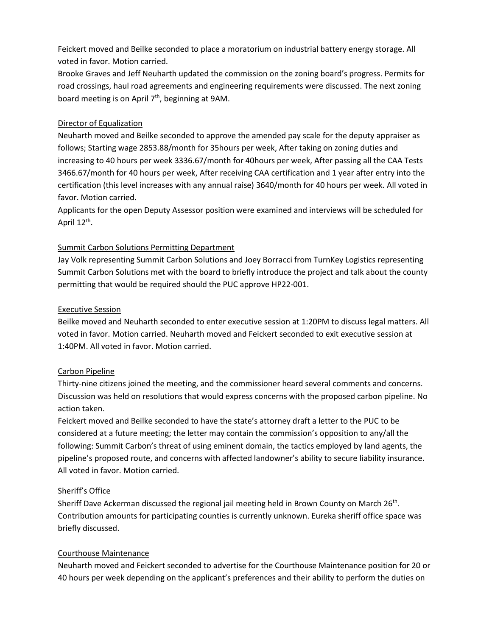Feickert moved and Beilke seconded to place a moratorium on industrial battery energy storage. All voted in favor. Motion carried.

Brooke Graves and Jeff Neuharth updated the commission on the zoning board's progress. Permits for road crossings, haul road agreements and engineering requirements were discussed. The next zoning board meeting is on April  $7<sup>th</sup>$ , beginning at 9AM.

## Director of Equalization

Neuharth moved and Beilke seconded to approve the amended pay scale for the deputy appraiser as follows; Starting wage 2853.88/month for 35hours per week, After taking on zoning duties and increasing to 40 hours per week 3336.67/month for 40hours per week, After passing all the CAA Tests 3466.67/month for 40 hours per week, After receiving CAA certification and 1 year after entry into the certification (this level increases with any annual raise) 3640/month for 40 hours per week. All voted in favor. Motion carried.

Applicants for the open Deputy Assessor position were examined and interviews will be scheduled for April 12<sup>th</sup>.

## Summit Carbon Solutions Permitting Department

Jay Volk representing Summit Carbon Solutions and Joey Borracci from TurnKey Logistics representing Summit Carbon Solutions met with the board to briefly introduce the project and talk about the county permitting that would be required should the PUC approve HP22-001.

## Executive Session

Beilke moved and Neuharth seconded to enter executive session at 1:20PM to discuss legal matters. All voted in favor. Motion carried. Neuharth moved and Feickert seconded to exit executive session at 1:40PM. All voted in favor. Motion carried.

## Carbon Pipeline

Thirty-nine citizens joined the meeting, and the commissioner heard several comments and concerns. Discussion was held on resolutions that would express concerns with the proposed carbon pipeline. No action taken.

Feickert moved and Beilke seconded to have the state's attorney draft a letter to the PUC to be considered at a future meeting; the letter may contain the commission's opposition to any/all the following: Summit Carbon's threat of using eminent domain, the tactics employed by land agents, the pipeline's proposed route, and concerns with affected landowner's ability to secure liability insurance. All voted in favor. Motion carried.

## Sheriff's Office

Sheriff Dave Ackerman discussed the regional jail meeting held in Brown County on March 26<sup>th</sup>. Contribution amounts for participating counties is currently unknown. Eureka sheriff office space was briefly discussed.

## Courthouse Maintenance

Neuharth moved and Feickert seconded to advertise for the Courthouse Maintenance position for 20 or 40 hours per week depending on the applicant's preferences and their ability to perform the duties on